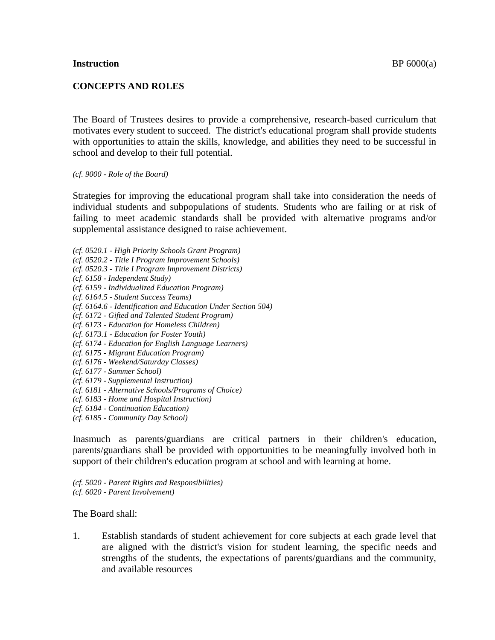#### **Instruction** BP 6000(a)

## **CONCEPTS AND ROLES**

The Board of Trustees desires to provide a comprehensive, research-based curriculum that motivates every student to succeed. The district's educational program shall provide students with opportunities to attain the skills, knowledge, and abilities they need to be successful in school and develop to their full potential.

*(cf. 9000 - Role of the Board)*

Strategies for improving the educational program shall take into consideration the needs of individual students and subpopulations of students. Students who are failing or at risk of failing to meet academic standards shall be provided with alternative programs and/or supplemental assistance designed to raise achievement.

- *(cf. 0520.1 - High Priority Schools Grant Program)*
- *(cf. 0520.2 - Title I Program Improvement Schools)*
- *(cf. 0520.3 - Title I Program Improvement Districts)*
- *(cf. 6158 - Independent Study)*
- *(cf. 6159 - Individualized Education Program)*
- *(cf. 6164.5 - Student Success Teams)*
- *(cf. 6164.6 - Identification and Education Under Section 504)*
- *(cf. 6172 - Gifted and Talented Student Program)*
- *(cf. 6173 - Education for Homeless Children)*
- *(cf. 6173.1 - Education for Foster Youth)*
- *(cf. 6174 - Education for English Language Learners)*
- *(cf. 6175 - Migrant Education Program)*
- *(cf. 6176 - Weekend/Saturday Classes)*
- *(cf. 6177 - Summer School)*
- *(cf. 6179 - Supplemental Instruction)*
- *(cf. 6181 - Alternative Schools/Programs of Choice)*
- *(cf. 6183 - Home and Hospital Instruction)*
- *(cf. 6184 - Continuation Education)*
- *(cf. 6185 - Community Day School)*

Inasmuch as parents/guardians are critical partners in their children's education, parents/guardians shall be provided with opportunities to be meaningfully involved both in support of their children's education program at school and with learning at home.

*(cf. 5020 - Parent Rights and Responsibilities) (cf. 6020 - Parent Involvement)*

The Board shall:

1. Establish standards of student achievement for core subjects at each grade level that are aligned with the district's vision for student learning, the specific needs and strengths of the students, the expectations of parents/guardians and the community, and available resources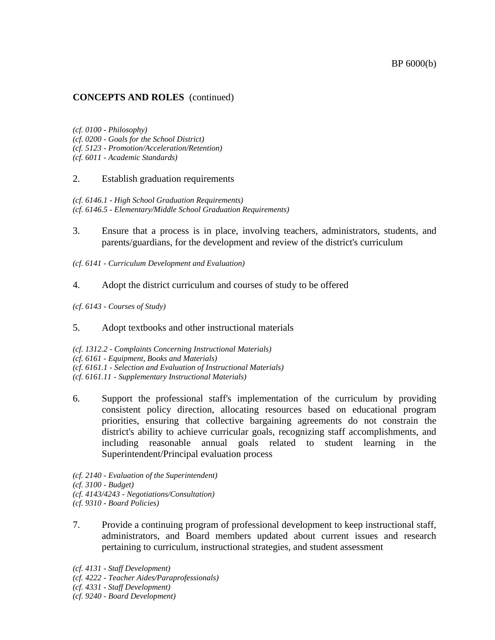#### BP 6000(b)

## **CONCEPTS AND ROLES** (continued)

*(cf. 0100 - Philosophy) (cf. 0200 - Goals for the School District) (cf. 5123 - Promotion/Acceleration/Retention) (cf. 6011 - Academic Standards)*

#### 2. Establish graduation requirements

*(cf. 6146.1 - High School Graduation Requirements) (cf. 6146.5 - Elementary/Middle School Graduation Requirements)*

- 3. Ensure that a process is in place, involving teachers, administrators, students, and parents/guardians, for the development and review of the district's curriculum
- *(cf. 6141 - Curriculum Development and Evaluation)*
- 4. Adopt the district curriculum and courses of study to be offered
- *(cf. 6143 - Courses of Study)*
- 5. Adopt textbooks and other instructional materials

*(cf. 1312.2 - Complaints Concerning Instructional Materials) (cf. 6161 - Equipment, Books and Materials) (cf. 6161.1 - Selection and Evaluation of Instructional Materials) (cf. 6161.11 - Supplementary Instructional Materials)*

6. Support the professional staff's implementation of the curriculum by providing consistent policy direction, allocating resources based on educational program priorities, ensuring that collective bargaining agreements do not constrain the district's ability to achieve curricular goals, recognizing staff accomplishments, and including reasonable annual goals related to student learning in the Superintendent/Principal evaluation process

*(cf. 2140 - Evaluation of the Superintendent) (cf. 3100 - Budget) (cf. 4143/4243 - Negotiations/Consultation) (cf. 9310 - Board Policies)*

- 7. Provide a continuing program of professional development to keep instructional staff, administrators, and Board members updated about current issues and research pertaining to curriculum, instructional strategies, and student assessment
- *(cf. 4131 - Staff Development)*
- *(cf. 4222 - Teacher Aides/Paraprofessionals)*
- *(cf. 4331 - Staff Development)*
- *(cf. 9240 - Board Development)*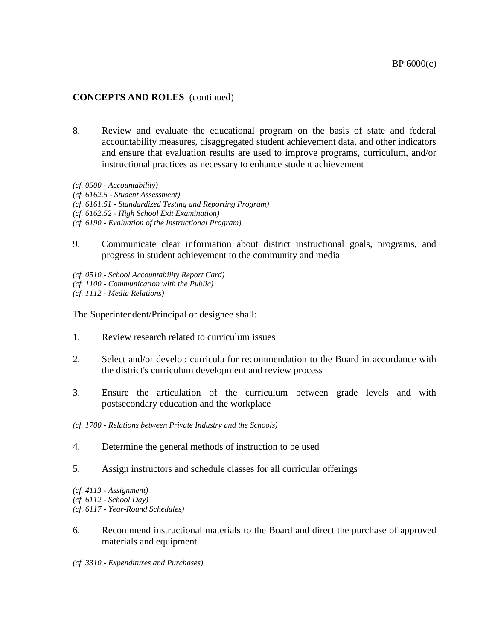# **CONCEPTS AND ROLES** (continued)

- 8. Review and evaluate the educational program on the basis of state and federal accountability measures, disaggregated student achievement data, and other indicators and ensure that evaluation results are used to improve programs, curriculum, and/or instructional practices as necessary to enhance student achievement
- *(cf. 0500 - Accountability)*
- *(cf. 6162.5 - Student Assessment)*
- *(cf. 6161.51 - Standardized Testing and Reporting Program)*
- *(cf. 6162.52 - High School Exit Examination)*
- *(cf. 6190 - Evaluation of the Instructional Program)*
- 9. Communicate clear information about district instructional goals, programs, and progress in student achievement to the community and media
- *(cf. 0510 - School Accountability Report Card) (cf. 1100 - Communication with the Public) (cf. 1112 - Media Relations)*

The Superintendent/Principal or designee shall:

- 1. Review research related to curriculum issues
- 2. Select and/or develop curricula for recommendation to the Board in accordance with the district's curriculum development and review process
- 3. Ensure the articulation of the curriculum between grade levels and with postsecondary education and the workplace
- *(cf. 1700 - Relations between Private Industry and the Schools)*
- 4. Determine the general methods of instruction to be used
- 5. Assign instructors and schedule classes for all curricular offerings

*(cf. 4113 - Assignment) (cf. 6112 - School Day) (cf. 6117 - Year-Round Schedules)*

- 6. Recommend instructional materials to the Board and direct the purchase of approved materials and equipment
- *(cf. 3310 - Expenditures and Purchases)*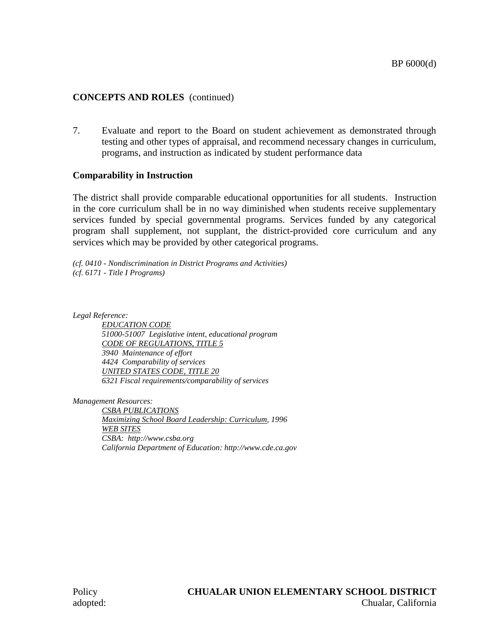# **CONCEPTS AND ROLES** (continued)

7. Evaluate and report to the Board on student achievement as demonstrated through testing and other types of appraisal, and recommend necessary changes in curriculum, programs, and instruction as indicated by student performance data

# **Comparability in Instruction**

The district shall provide comparable educational opportunities for all students. Instruction in the core curriculum shall be in no way diminished when students receive supplementary services funded by special governmental programs. Services funded by any categorical program shall supplement, not supplant, the district-provided core curriculum and any services which may be provided by other categorical programs.

*(cf. 0410 - Nondiscrimination in District Programs and Activities) (cf. 6171 - Title I Programs)*

*Legal Reference: EDUCATION CODE 51000-51007 Legislative intent, educational program CODE OF REGULATIONS, TITLE 5 3940 Maintenance of effort 4424 Comparability of services UNITED STATES CODE, TITLE 20 6321 Fiscal requirements/comparability of services*

*Management Resources:*

*CSBA PUBLICATIONS Maximizing School Board Leadership: Curriculum, 1996 WEB SITES CSBA: http://www.csba.org California Department of Education: http://www.cde.ca.gov*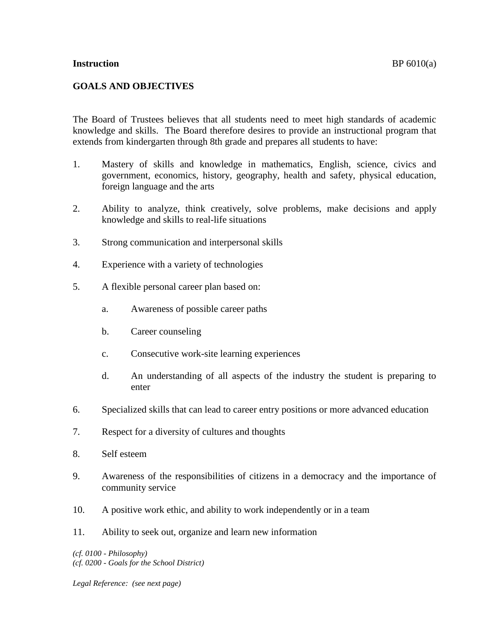#### **Instruction** BP 6010(a)

## **GOALS AND OBJECTIVES**

The Board of Trustees believes that all students need to meet high standards of academic knowledge and skills. The Board therefore desires to provide an instructional program that extends from kindergarten through 8th grade and prepares all students to have:

- 1. Mastery of skills and knowledge in mathematics, English, science, civics and government, economics, history, geography, health and safety, physical education, foreign language and the arts
- 2. Ability to analyze, think creatively, solve problems, make decisions and apply knowledge and skills to real-life situations
- 3. Strong communication and interpersonal skills
- 4. Experience with a variety of technologies
- 5. A flexible personal career plan based on:
	- a. Awareness of possible career paths
	- b. Career counseling
	- c. Consecutive work-site learning experiences
	- d. An understanding of all aspects of the industry the student is preparing to enter
- 6. Specialized skills that can lead to career entry positions or more advanced education
- 7. Respect for a diversity of cultures and thoughts
- 8. Self esteem
- 9. Awareness of the responsibilities of citizens in a democracy and the importance of community service
- 10. A positive work ethic, and ability to work independently or in a team
- 11. Ability to seek out, organize and learn new information

*(cf. 0100 - Philosophy) (cf. 0200 - Goals for the School District)*

*Legal Reference: (see next page)*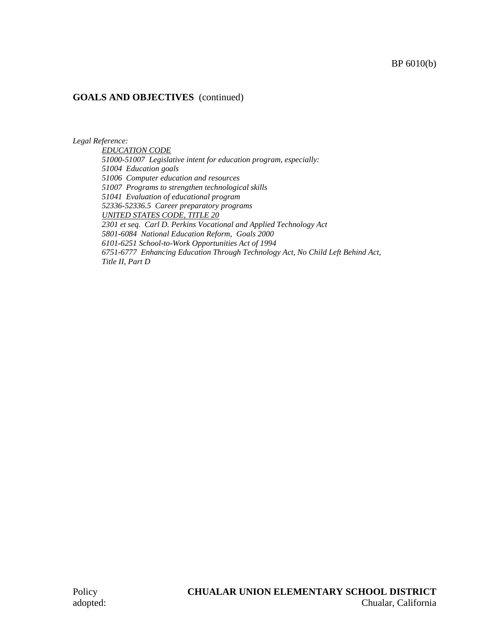## BP 6010(b)

## **GOALS AND OBJECTIVES** (continued)

*Legal Reference:*

*EDUCATION CODE 51000-51007 Legislative intent for education program, especially: 51004 Education goals 51006 Computer education and resources 51007 Programs to strengthen technological skills 51041 Evaluation of educational program 52336-52336.5 Career preparatory programs UNITED STATES CODE, TITLE 20 2301 et seq. Carl D. Perkins Vocational and Applied Technology Act 5801-6084 National Education Reform, Goals 2000 6101-6251 School-to-Work Opportunities Act of 1994 6751-6777 Enhancing Education Through Technology Act, No Child Left Behind Act, Title II, Part D*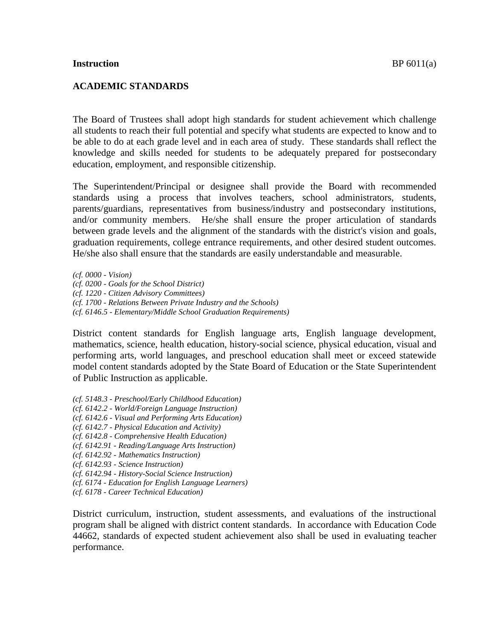## **ACADEMIC STANDARDS**

The Board of Trustees shall adopt high standards for student achievement which challenge all students to reach their full potential and specify what students are expected to know and to be able to do at each grade level and in each area of study. These standards shall reflect the knowledge and skills needed for students to be adequately prepared for postsecondary education, employment, and responsible citizenship.

The Superintendent/Principal or designee shall provide the Board with recommended standards using a process that involves teachers, school administrators, students, parents/guardians, representatives from business/industry and postsecondary institutions, and/or community members. He/she shall ensure the proper articulation of standards between grade levels and the alignment of the standards with the district's vision and goals, graduation requirements, college entrance requirements, and other desired student outcomes. He/she also shall ensure that the standards are easily understandable and measurable.

*(cf. 0000 - Vision) (cf. 0200 - Goals for the School District) (cf. 1220 - Citizen Advisory Committees) (cf. 1700 - Relations Between Private Industry and the Schools) (cf. 6146.5 - Elementary/Middle School Graduation Requirements)*

District content standards for English language arts, English language development, mathematics, science, health education, history-social science, physical education, visual and performing arts, world languages, and preschool education shall meet or exceed statewide model content standards adopted by the State Board of Education or the State Superintendent of Public Instruction as applicable.

- *(cf. 5148.3 - Preschool/Early Childhood Education)*
- *(cf. 6142.2 - World/Foreign Language Instruction)*
- *(cf. 6142.6 - Visual and Performing Arts Education)*
- *(cf. 6142.7 - Physical Education and Activity)*
- *(cf. 6142.8 - Comprehensive Health Education)*
- *(cf. 6142.91 - Reading/Language Arts Instruction)*
- *(cf. 6142.92 - Mathematics Instruction)*
- *(cf. 6142.93 - Science Instruction)*
- *(cf. 6142.94 - History-Social Science Instruction)*
- *(cf. 6174 - Education for English Language Learners)*
- *(cf. 6178 - Career Technical Education)*

District curriculum, instruction, student assessments, and evaluations of the instructional program shall be aligned with district content standards. In accordance with Education Code 44662, standards of expected student achievement also shall be used in evaluating teacher performance.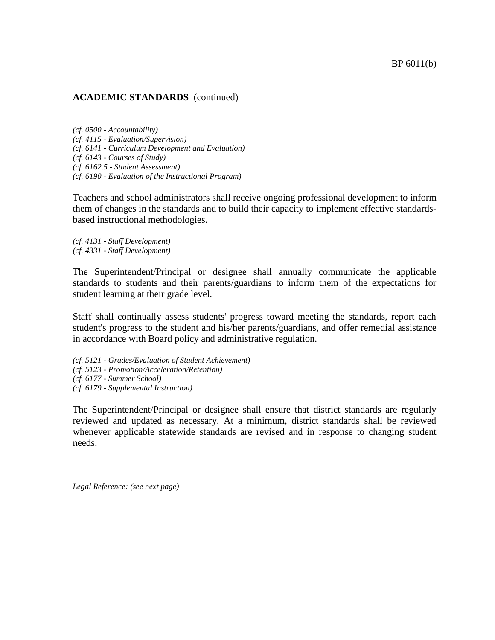#### **ACADEMIC STANDARDS** (continued)

*(cf. 0500 - Accountability) (cf. 4115 - Evaluation/Supervision) (cf. 6141 - Curriculum Development and Evaluation) (cf. 6143 - Courses of Study) (cf. 6162.5 - Student Assessment) (cf. 6190 - Evaluation of the Instructional Program)*

Teachers and school administrators shall receive ongoing professional development to inform them of changes in the standards and to build their capacity to implement effective standardsbased instructional methodologies.

*(cf. 4131 - Staff Development) (cf. 4331 - Staff Development)*

The Superintendent/Principal or designee shall annually communicate the applicable standards to students and their parents/guardians to inform them of the expectations for student learning at their grade level.

Staff shall continually assess students' progress toward meeting the standards, report each student's progress to the student and his/her parents/guardians, and offer remedial assistance in accordance with Board policy and administrative regulation.

*(cf. 5121 - Grades/Evaluation of Student Achievement) (cf. 5123 - Promotion/Acceleration/Retention) (cf. 6177 - Summer School) (cf. 6179 - Supplemental Instruction)*

The Superintendent/Principal or designee shall ensure that district standards are regularly reviewed and updated as necessary. At a minimum, district standards shall be reviewed whenever applicable statewide standards are revised and in response to changing student needs.

*Legal Reference: (see next page)*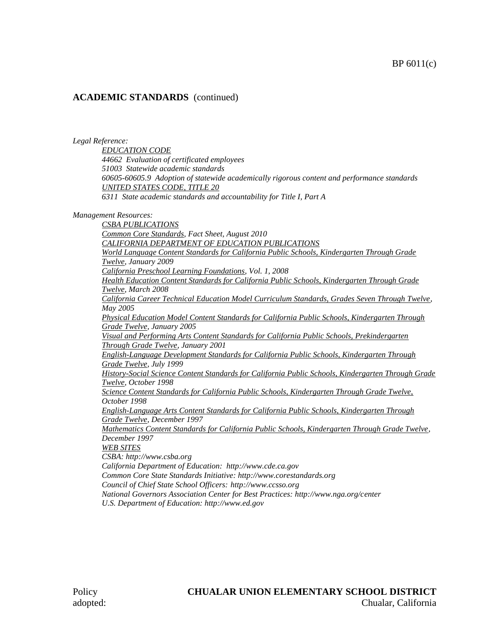# **ACADEMIC STANDARDS** (continued)

*Legal Reference:*

*EDUCATION CODE 44662 Evaluation of certificated employees 51003 Statewide academic standards 60605-60605.9 Adoption of statewide academically rigorous content and performance standards UNITED STATES CODE, TITLE 20 6311 State academic standards and accountability for Title I, Part A*

*Management Resources:*

*CSBA PUBLICATIONS Common Core Standards, Fact Sheet, August 2010 CALIFORNIA DEPARTMENT OF EDUCATION PUBLICATIONS World Language Content Standards for California Public Schools, Kindergarten Through Grade Twelve, January 2009 California Preschool Learning Foundations, Vol. 1, 2008 Health Education Content Standards for California Public Schools, Kindergarten Through Grade Twelve, March 2008 California Career Technical Education Model Curriculum Standards, Grades Seven Through Twelve, May 2005 Physical Education Model Content Standards for California Public Schools, Kindergarten Through Grade Twelve, January 2005 Visual and Performing Arts Content Standards for California Public Schools, Prekindergarten Through Grade Twelve, January 2001 English-Language Development Standards for California Public Schools, Kindergarten Through Grade Twelve, July 1999 History-Social Science Content Standards for California Public Schools, Kindergarten Through Grade Twelve, October 1998 Science Content Standards for California Public Schools, Kindergarten Through Grade Twelve, October 1998 English-Language Arts Content Standards for California Public Schools, Kindergarten Through Grade Twelve, December 1997 Mathematics Content Standards for California Public Schools, Kindergarten Through Grade Twelve, December 1997 WEB SITES CSBA: http://www.csba.org California Department of Education: http://www.cde.ca.gov Common Core State Standards Initiative: http://www.corestandards.org Council of Chief State School Officers: http://www.ccsso.org National Governors Association Center for Best Practices: http://www.nga.org/center U.S. Department of Education: http://www.ed.gov*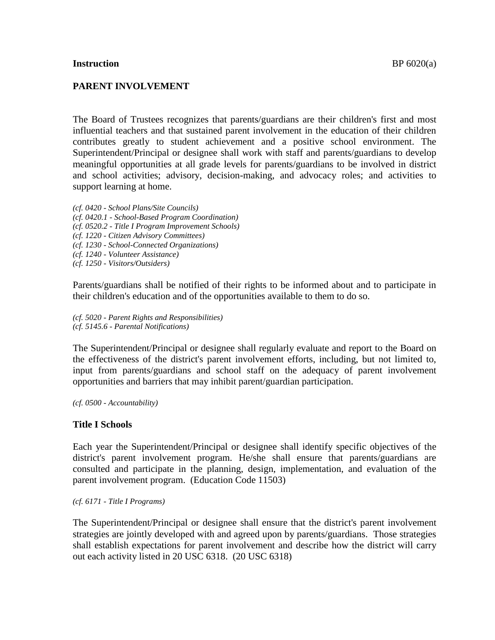#### **Instruction** BP 6020(a)

#### **PARENT INVOLVEMENT**

The Board of Trustees recognizes that parents/guardians are their children's first and most influential teachers and that sustained parent involvement in the education of their children contributes greatly to student achievement and a positive school environment. The Superintendent/Principal or designee shall work with staff and parents/guardians to develop meaningful opportunities at all grade levels for parents/guardians to be involved in district and school activities; advisory, decision-making, and advocacy roles; and activities to support learning at home.

*(cf. 0420 - School Plans/Site Councils) (cf. 0420.1 - School-Based Program Coordination) (cf. 0520.2 - Title I Program Improvement Schools) (cf. 1220 - Citizen Advisory Committees) (cf. 1230 - School-Connected Organizations) (cf. 1240 - Volunteer Assistance) (cf. 1250 - Visitors/Outsiders)*

Parents/guardians shall be notified of their rights to be informed about and to participate in their children's education and of the opportunities available to them to do so.

*(cf. 5020 - Parent Rights and Responsibilities) (cf. 5145.6 - Parental Notifications)*

The Superintendent/Principal or designee shall regularly evaluate and report to the Board on the effectiveness of the district's parent involvement efforts, including, but not limited to, input from parents/guardians and school staff on the adequacy of parent involvement opportunities and barriers that may inhibit parent/guardian participation.

*(cf. 0500 - Accountability)*

## **Title I Schools**

Each year the Superintendent/Principal or designee shall identify specific objectives of the district's parent involvement program. He/she shall ensure that parents/guardians are consulted and participate in the planning, design, implementation, and evaluation of the parent involvement program. (Education Code 11503)

*(cf. 6171 - Title I Programs)*

The Superintendent/Principal or designee shall ensure that the district's parent involvement strategies are jointly developed with and agreed upon by parents/guardians. Those strategies shall establish expectations for parent involvement and describe how the district will carry out each activity listed in 20 USC 6318. (20 USC 6318)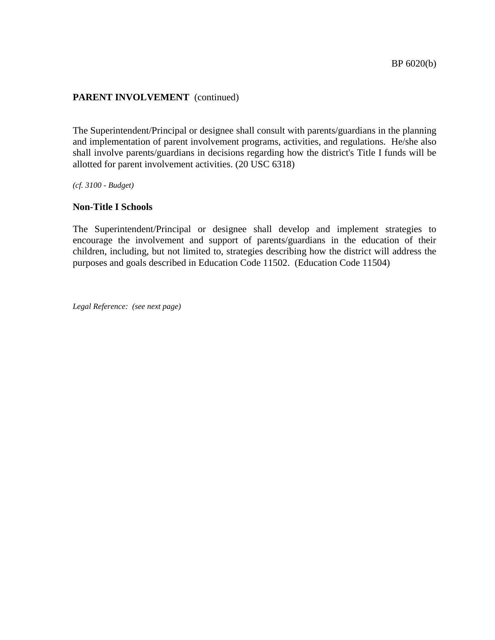The Superintendent/Principal or designee shall consult with parents/guardians in the planning and implementation of parent involvement programs, activities, and regulations. He/she also shall involve parents/guardians in decisions regarding how the district's Title I funds will be allotted for parent involvement activities. (20 USC 6318)

*(cf. 3100 - Budget)*

#### **Non-Title I Schools**

The Superintendent/Principal or designee shall develop and implement strategies to encourage the involvement and support of parents/guardians in the education of their children, including, but not limited to, strategies describing how the district will address the purposes and goals described in Education Code 11502. (Education Code 11504)

*Legal Reference: (see next page)*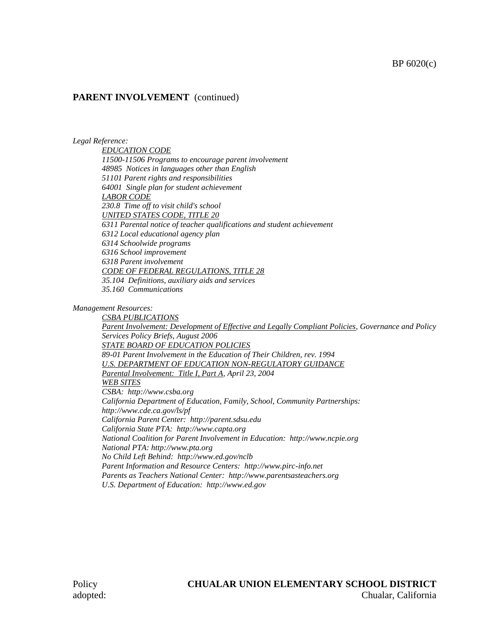#### *Legal Reference:*

*EDUCATION CODE 11500-11506 Programs to encourage parent involvement 48985 Notices in languages other than English 51101 Parent rights and responsibilities 64001 Single plan for student achievement LABOR CODE 230.8 Time off to visit child's school UNITED STATES CODE, TITLE 20 6311 Parental notice of teacher qualifications and student achievement 6312 Local educational agency plan 6314 Schoolwide programs 6316 School improvement 6318 Parent involvement CODE OF FEDERAL REGULATIONS, TITLE 28 35.104 Definitions, auxiliary aids and services 35.160 Communications*

*Management Resources:*

*CSBA PUBLICATIONS Parent Involvement: Development of Effective and Legally Compliant Policies, Governance and Policy Services Policy Briefs, August 2006 STATE BOARD OF EDUCATION POLICIES 89-01 Parent Involvement in the Education of Their Children, rev. 1994 U.S. DEPARTMENT OF EDUCATION NON-REGULATORY GUIDANCE Parental Involvement: Title I, Part A, April 23, 2004 WEB SITES CSBA: http://www.csba.org California Department of Education, Family, School, Community Partnerships: http://www.cde.ca.gov/ls/pf California Parent Center: http://parent.sdsu.edu California State PTA: http://www.capta.org National Coalition for Parent Involvement in Education: http://www.ncpie.org National PTA: http://www.pta.org No Child Left Behind: http://www.ed.gov/nclb Parent Information and Resource Centers: http://www.pirc-info.net Parents as Teachers National Center: http://www.parentsasteachers.org U.S. Department of Education: http://www.ed.gov*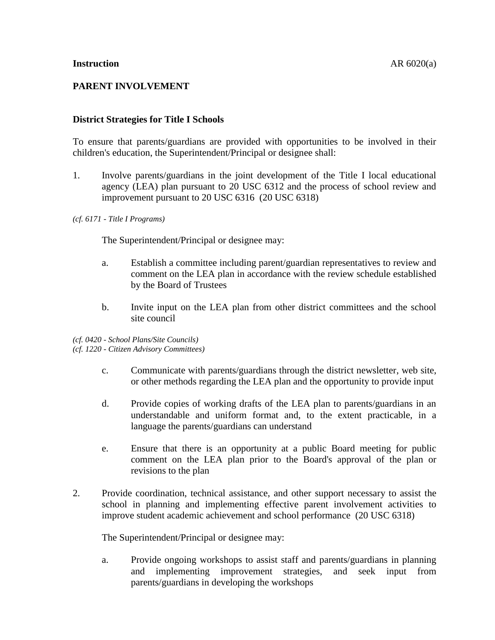# **PARENT INVOLVEMENT**

## **District Strategies for Title I Schools**

To ensure that parents/guardians are provided with opportunities to be involved in their children's education, the Superintendent/Principal or designee shall:

1. Involve parents/guardians in the joint development of the Title I local educational agency (LEA) plan pursuant to 20 USC 6312 and the process of school review and improvement pursuant to 20 USC 6316 (20 USC 6318)

#### *(cf. 6171 - Title I Programs)*

The Superintendent/Principal or designee may:

- a. Establish a committee including parent/guardian representatives to review and comment on the LEA plan in accordance with the review schedule established by the Board of Trustees
- b. Invite input on the LEA plan from other district committees and the school site council

*(cf. 0420 - School Plans/Site Councils) (cf. 1220 - Citizen Advisory Committees)*

- c. Communicate with parents/guardians through the district newsletter, web site, or other methods regarding the LEA plan and the opportunity to provide input
- d. Provide copies of working drafts of the LEA plan to parents/guardians in an understandable and uniform format and, to the extent practicable, in a language the parents/guardians can understand
- e. Ensure that there is an opportunity at a public Board meeting for public comment on the LEA plan prior to the Board's approval of the plan or revisions to the plan
- 2. Provide coordination, technical assistance, and other support necessary to assist the school in planning and implementing effective parent involvement activities to improve student academic achievement and school performance (20 USC 6318)

The Superintendent/Principal or designee may:

a. Provide ongoing workshops to assist staff and parents/guardians in planning and implementing improvement strategies, and seek input from parents/guardians in developing the workshops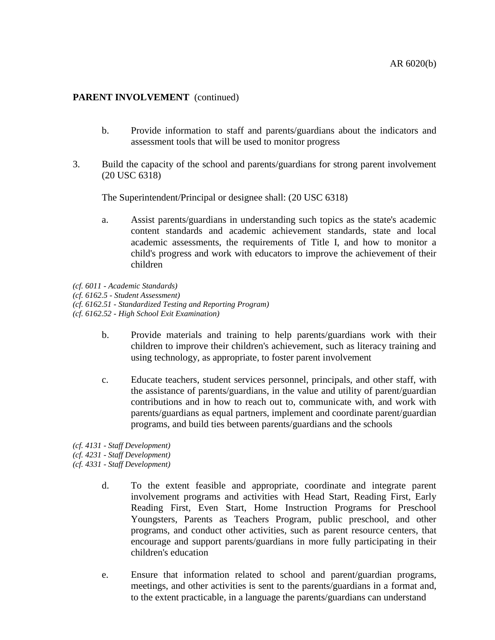- b. Provide information to staff and parents/guardians about the indicators and assessment tools that will be used to monitor progress
- 3. Build the capacity of the school and parents/guardians for strong parent involvement (20 USC 6318)

The Superintendent/Principal or designee shall: (20 USC 6318)

- a. Assist parents/guardians in understanding such topics as the state's academic content standards and academic achievement standards, state and local academic assessments, the requirements of Title I, and how to monitor a child's progress and work with educators to improve the achievement of their children
- *(cf. 6011 - Academic Standards)*
- *(cf. 6162.5 - Student Assessment)*
- *(cf. 6162.51 - Standardized Testing and Reporting Program)*
- *(cf. 6162.52 - High School Exit Examination)*
	- b. Provide materials and training to help parents/guardians work with their children to improve their children's achievement, such as literacy training and using technology, as appropriate, to foster parent involvement
	- c. Educate teachers, student services personnel, principals, and other staff, with the assistance of parents/guardians, in the value and utility of parent/guardian contributions and in how to reach out to, communicate with, and work with parents/guardians as equal partners, implement and coordinate parent/guardian programs, and build ties between parents/guardians and the schools
- *(cf. 4131 - Staff Development)*
- *(cf. 4231 - Staff Development)*
- *(cf. 4331 - Staff Development)*
	- d. To the extent feasible and appropriate, coordinate and integrate parent involvement programs and activities with Head Start, Reading First, Early Reading First, Even Start, Home Instruction Programs for Preschool Youngsters, Parents as Teachers Program, public preschool, and other programs, and conduct other activities, such as parent resource centers, that encourage and support parents/guardians in more fully participating in their children's education
	- e. Ensure that information related to school and parent/guardian programs, meetings, and other activities is sent to the parents/guardians in a format and, to the extent practicable, in a language the parents/guardians can understand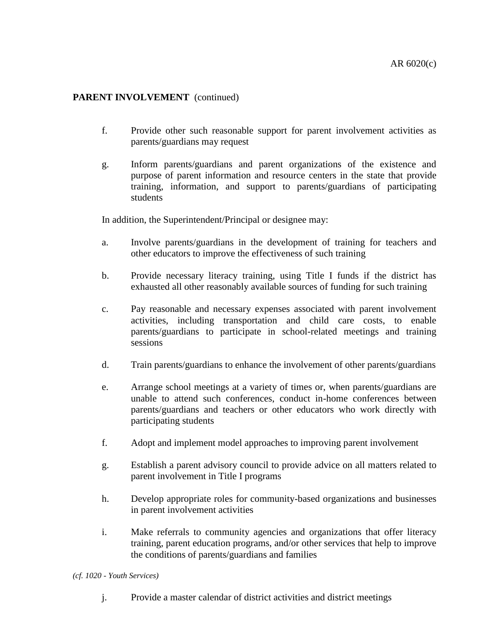- f. Provide other such reasonable support for parent involvement activities as parents/guardians may request
- g. Inform parents/guardians and parent organizations of the existence and purpose of parent information and resource centers in the state that provide training, information, and support to parents/guardians of participating students

In addition, the Superintendent/Principal or designee may:

- a. Involve parents/guardians in the development of training for teachers and other educators to improve the effectiveness of such training
- b. Provide necessary literacy training, using Title I funds if the district has exhausted all other reasonably available sources of funding for such training
- c. Pay reasonable and necessary expenses associated with parent involvement activities, including transportation and child care costs, to enable parents/guardians to participate in school-related meetings and training sessions
- d. Train parents/guardians to enhance the involvement of other parents/guardians
- e. Arrange school meetings at a variety of times or, when parents/guardians are unable to attend such conferences, conduct in-home conferences between parents/guardians and teachers or other educators who work directly with participating students
- f. Adopt and implement model approaches to improving parent involvement
- g. Establish a parent advisory council to provide advice on all matters related to parent involvement in Title I programs
- h. Develop appropriate roles for community-based organizations and businesses in parent involvement activities
- i. Make referrals to community agencies and organizations that offer literacy training, parent education programs, and/or other services that help to improve the conditions of parents/guardians and families

*(cf. 1020 - Youth Services)*

j. Provide a master calendar of district activities and district meetings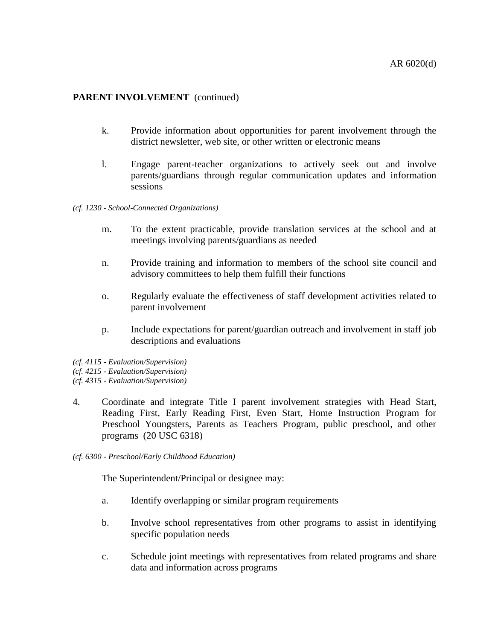- k. Provide information about opportunities for parent involvement through the district newsletter, web site, or other written or electronic means
- l. Engage parent-teacher organizations to actively seek out and involve parents/guardians through regular communication updates and information sessions

#### *(cf. 1230 - School-Connected Organizations)*

- m. To the extent practicable, provide translation services at the school and at meetings involving parents/guardians as needed
- n. Provide training and information to members of the school site council and advisory committees to help them fulfill their functions
- o. Regularly evaluate the effectiveness of staff development activities related to parent involvement
- p. Include expectations for parent/guardian outreach and involvement in staff job descriptions and evaluations
- *(cf. 4115 - Evaluation/Supervision) (cf. 4215 - Evaluation/Supervision)*
- *(cf. 4315 - Evaluation/Supervision)*
- 4. Coordinate and integrate Title I parent involvement strategies with Head Start, Reading First, Early Reading First, Even Start, Home Instruction Program for Preschool Youngsters, Parents as Teachers Program, public preschool, and other programs (20 USC 6318)
- *(cf. 6300 - Preschool/Early Childhood Education)*

- a. Identify overlapping or similar program requirements
- b. Involve school representatives from other programs to assist in identifying specific population needs
- c. Schedule joint meetings with representatives from related programs and share data and information across programs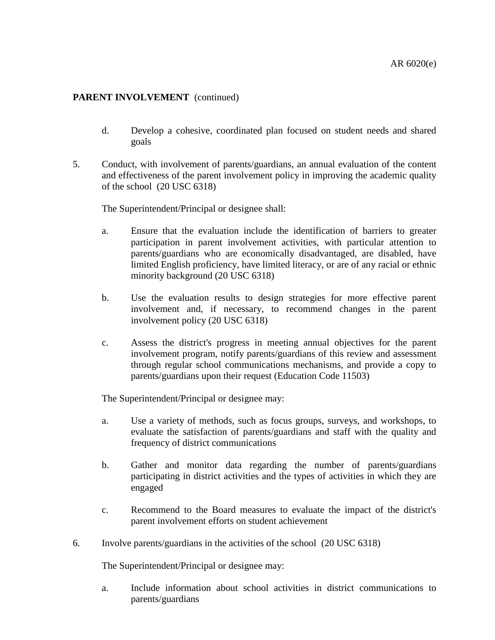- d. Develop a cohesive, coordinated plan focused on student needs and shared goals
- 5. Conduct, with involvement of parents/guardians, an annual evaluation of the content and effectiveness of the parent involvement policy in improving the academic quality of the school (20 USC 6318)

The Superintendent/Principal or designee shall:

- a. Ensure that the evaluation include the identification of barriers to greater participation in parent involvement activities, with particular attention to parents/guardians who are economically disadvantaged, are disabled, have limited English proficiency, have limited literacy, or are of any racial or ethnic minority background (20 USC 6318)
- b. Use the evaluation results to design strategies for more effective parent involvement and, if necessary, to recommend changes in the parent involvement policy (20 USC 6318)
- c. Assess the district's progress in meeting annual objectives for the parent involvement program, notify parents/guardians of this review and assessment through regular school communications mechanisms, and provide a copy to parents/guardians upon their request (Education Code 11503)

The Superintendent/Principal or designee may:

- a. Use a variety of methods, such as focus groups, surveys, and workshops, to evaluate the satisfaction of parents/guardians and staff with the quality and frequency of district communications
- b. Gather and monitor data regarding the number of parents/guardians participating in district activities and the types of activities in which they are engaged
- c. Recommend to the Board measures to evaluate the impact of the district's parent involvement efforts on student achievement
- 6. Involve parents/guardians in the activities of the school (20 USC 6318)

The Superintendent/Principal or designee may:

a. Include information about school activities in district communications to parents/guardians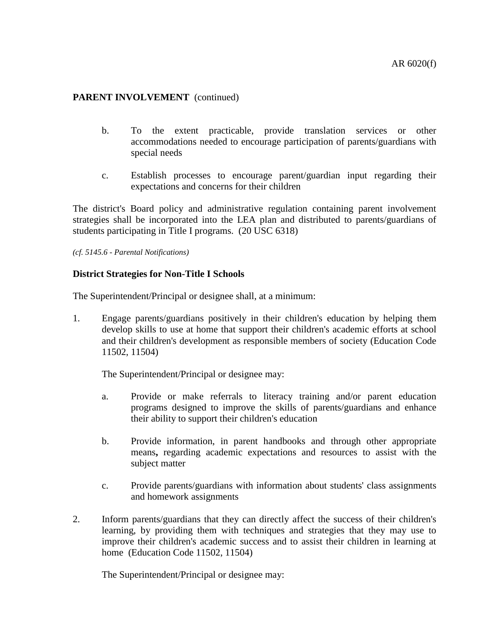- b. To the extent practicable, provide translation services or other accommodations needed to encourage participation of parents/guardians with special needs
- c. Establish processes to encourage parent/guardian input regarding their expectations and concerns for their children

The district's Board policy and administrative regulation containing parent involvement strategies shall be incorporated into the LEA plan and distributed to parents/guardians of students participating in Title I programs. (20 USC 6318)

*(cf. 5145.6 - Parental Notifications)*

#### **District Strategies for Non-Title I Schools**

The Superintendent/Principal or designee shall, at a minimum:

1. Engage parents/guardians positively in their children's education by helping them develop skills to use at home that support their children's academic efforts at school and their children's development as responsible members of society (Education Code 11502, 11504)

The Superintendent/Principal or designee may:

- a. Provide or make referrals to literacy training and/or parent education programs designed to improve the skills of parents/guardians and enhance their ability to support their children's education
- b. Provide information, in parent handbooks and through other appropriate means**,** regarding academic expectations and resources to assist with the subject matter
- c. Provide parents/guardians with information about students' class assignments and homework assignments
- 2. Inform parents/guardians that they can directly affect the success of their children's learning, by providing them with techniques and strategies that they may use to improve their children's academic success and to assist their children in learning at home (Education Code 11502, 11504)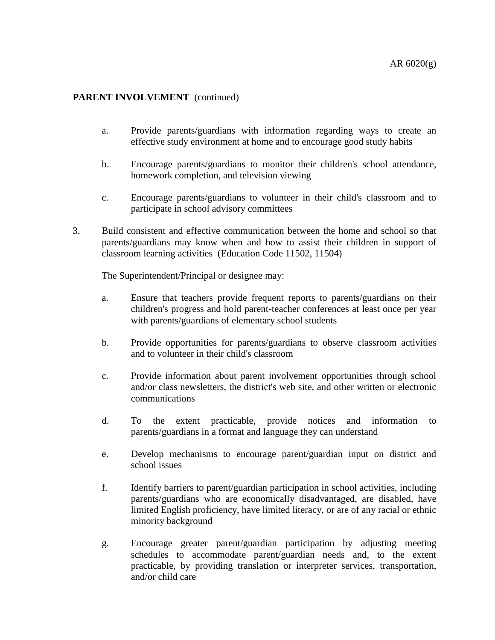- a. Provide parents/guardians with information regarding ways to create an effective study environment at home and to encourage good study habits
- b. Encourage parents/guardians to monitor their children's school attendance, homework completion, and television viewing
- c. Encourage parents/guardians to volunteer in their child's classroom and to participate in school advisory committees
- 3. Build consistent and effective communication between the home and school so that parents/guardians may know when and how to assist their children in support of classroom learning activities (Education Code 11502, 11504)

- a. Ensure that teachers provide frequent reports to parents/guardians on their children's progress and hold parent-teacher conferences at least once per year with parents/guardians of elementary school students
- b. Provide opportunities for parents/guardians to observe classroom activities and to volunteer in their child's classroom
- c. Provide information about parent involvement opportunities through school and/or class newsletters, the district's web site, and other written or electronic communications
- d. To the extent practicable, provide notices and information to parents/guardians in a format and language they can understand
- e. Develop mechanisms to encourage parent/guardian input on district and school issues
- f. Identify barriers to parent/guardian participation in school activities, including parents/guardians who are economically disadvantaged, are disabled, have limited English proficiency, have limited literacy, or are of any racial or ethnic minority background
- g. Encourage greater parent/guardian participation by adjusting meeting schedules to accommodate parent/guardian needs and, to the extent practicable, by providing translation or interpreter services, transportation, and/or child care